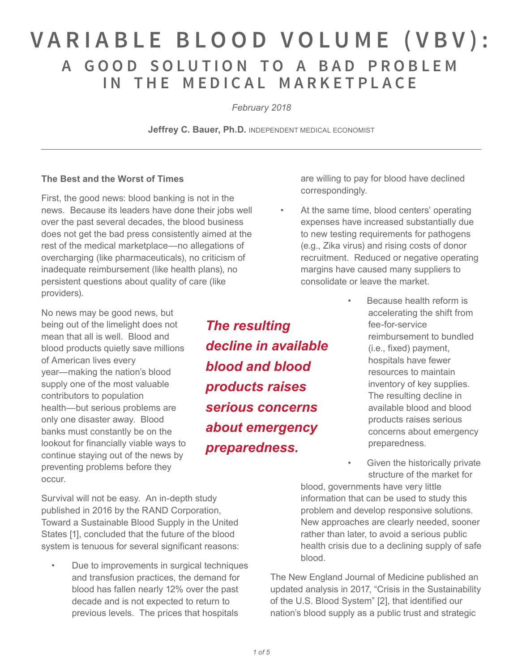# **VARIABLE BLOOD VOLUME (VBV): A GOOD SOLUTION T O A BAD PROBLEM I N THE MEDICAL MARKETPLACE**

*February 2018*

**Jeffrey C. Bauer, Ph.D. INDEPENDENT MEDICAL ECONOMIST** 

### **The Best and the Worst of Times**

First, the good news: blood banking is not in the news. Because its leaders have done their jobs well over the past several decades, the blood business does not get the bad press consistently aimed at the rest of the medical marketplace—no allegations of overcharging (like pharmaceuticals), no criticism of inadequate reimbursement (like health plans), no persistent questions about quality of care (like providers).

No news may be good news, but being out of the limelight does not mean that all is well. Blood and blood products quietly save millions of American lives every year—making the nation's blood supply one of the most valuable contributors to population health—but serious problems are only one disaster away. Blood banks must constantly be on the lookout for financially viable ways to continue staying out of the news by preventing problems before they occur.

Survival will not be easy. An in-depth study published in 2016 by the RAND Corporation, Toward a Sustainable Blood Supply in the United States [1], concluded that the future of the blood system is tenuous for several significant reasons:

• Due to improvements in surgical techniques and transfusion practices, the demand for blood has fallen nearly 12% over the past decade and is not expected to return to previous levels. The prices that hospitals

*The resulting decline in available blood and blood products raises serious concerns about emergency preparedness.* 

are willing to pay for blood have declined correspondingly.

- At the same time, blood centers' operating expenses have increased substantially due to new testing requirements for pathogens (e.g., Zika virus) and rising costs of donor recruitment. Reduced or negative operating margins have caused many suppliers to consolidate or leave the market.
	- Because health reform is accelerating the shift from fee-for-service reimbursement to bundled (i.e., fixed) payment, hospitals have fewer resources to maintain inventory of key supplies. The resulting decline in available blood and blood products raises serious concerns about emergency preparedness.
	- Given the historically private structure of the market for

blood, governments have very little information that can be used to study this problem and develop responsive solutions. New approaches are clearly needed, sooner rather than later, to avoid a serious public health crisis due to a declining supply of safe blood.

The New England Journal of Medicine published an updated analysis in 2017, "Crisis in the Sustainability of the U.S. Blood System" [2], that identified our nation's blood supply as a public trust and strategic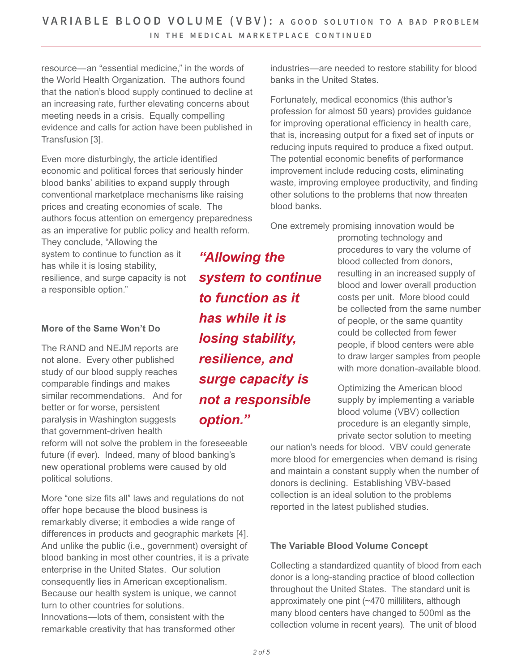resource—an "essential medicine," in the words of the World Health Organization. The authors found that the nation's blood supply continued to decline at an increasing rate, further elevating concerns about meeting needs in a crisis. Equally compelling evidence and calls for action have been published in Transfusion [3].

Even more disturbingly, the article identified economic and political forces that seriously hinder blood banks' abilities to expand supply through conventional marketplace mechanisms like raising prices and creating economies of scale. The authors focus attention on emergency preparedness as an imperative for public policy and health reform.

They conclude, "Allowing the system to continue to function as it has while it is losing stability, resilience, and surge capacity is not a responsible option."

### **More of the Same Won't Do**

The RAND and NEJM reports are not alone. Every other published study of our blood supply reaches comparable findings and makes similar recommendations. And for better or for worse, persistent paralysis in Washington suggests that government-driven health

reform will not solve the problem in the foreseeable future (if ever). Indeed, many of blood banking's new operational problems were caused by old political solutions.

More "one size fits all" laws and regulations do not offer hope because the blood business is remarkably diverse; it embodies a wide range of differences in products and geographic markets [4]. And unlike the public (i.e., government) oversight of blood banking in most other countries, it is a private enterprise in the United States. Our solution consequently lies in American exceptionalism. Because our health system is unique, we cannot turn to other countries for solutions. Innovations—lots of them, consistent with the remarkable creativity that has transformed other

*"Allowing the system to continue to function as it has while it is losing stability, resilience, and surge capacity is not a responsible option."* 

industries—are needed to restore stability for blood banks in the United States.

Fortunately, medical economics (this author's profession for almost 50 years) provides guidance for improving operational efficiency in health care, that is, increasing output for a fixed set of inputs or reducing inputs required to produce a fixed output. The potential economic benefits of performance improvement include reducing costs, eliminating waste, improving employee productivity, and finding other solutions to the problems that now threaten blood banks.

One extremely promising innovation would be

promoting technology and procedures to vary the volume of blood collected from donors, resulting in an increased supply of blood and lower overall production costs per unit. More blood could be collected from the same number of people, or the same quantity could be collected from fewer people, if blood centers were able to draw larger samples from people with more donation-available blood.

Optimizing the American blood supply by implementing a variable blood volume (VBV) collection procedure is an elegantly simple, private sector solution to meeting

our nation's needs for blood. VBV could generate more blood for emergencies when demand is rising and maintain a constant supply when the number of donors is declining. Establishing VBV-based collection is an ideal solution to the problems reported in the latest published studies.

### **The Variable Blood Volume Concept**

Collecting a standardized quantity of blood from each donor is a long-standing practice of blood collection throughout the United States. The standard unit is approximately one pint (~470 milliliters, although many blood centers have changed to 500ml as the collection volume in recent years). The unit of blood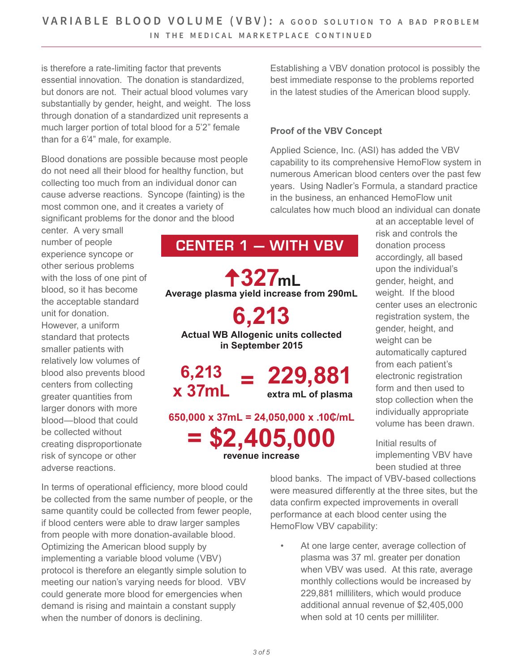is therefore a rate-limiting factor that prevents essential innovation. The donation is standardized, but donors are not. Their actual blood volumes vary substantially by gender, height, and weight. The loss through donation of a standardized unit represents a much larger portion of total blood for a 5'2" female than for a 6'4" male, for example.

Blood donations are possible because most people do not need all their blood for healthy function, but collecting too much from an individual donor can cause adverse reactions. Syncope (fainting) is the most common one, and it creates a variety of significant problems for the donor and the blood

center. A very small number of people experience syncope or other serious problems with the loss of one pint of blood, so it has become the acceptable standard unit for donation. However, a uniform standard that protects smaller patients with relatively low volumes of blood also prevents blood centers from collecting greater quantities from larger donors with more blood—blood that could be collected without creating disproportionate risk of syncope or other adverse reactions.

**O**<br>and<br>● **327mL Average plasma yield increase from 290mL 6,213 Actual WB Allogenic units collected in September 2015**

**CENTER 1 — WITH VBV**

**6,213 x 37mL = 229,881 extra mL of plasma**

**650,000 x 37mL = 24,050,000 x .10₵/mL**

**= \$2,405,000 revenue increase**

Establishing a VBV donation protocol is possibly the best immediate response to the problems reported in the latest studies of the American blood supply.

### **Proof of the VBV Concept**

Applied Science, Inc. (ASI) has added the VBV capability to its comprehensive HemoFlow system in numerous American blood centers over the past few years. Using Nadler's Formula, a standard practice in the business, an enhanced HemoFlow unit calculates how much blood an individual can donate

at an acceptable level of risk and controls the donation process accordingly, all based upon the individual's gender, height, and weight. If the blood center uses an electronic registration system, the gender, height, and weight can be automatically captured from each patient's electronic registration form and then used to stop collection when the individually appropriate volume has been drawn.

Initial results of implementing VBV have been studied at three

In terms of operational efficiency, more blood could be collected from the same number of people, or the same quantity could be collected from fewer people, if blood centers were able to draw larger samples from people with more donation-available blood. Optimizing the American blood supply by implementing a variable blood volume (VBV) protocol is therefore an elegantly simple solution to meeting our nation's varying needs for blood. VBV could generate more blood for emergencies when demand is rising and maintain a constant supply when the number of donors is declining.

blood banks. The impact of VBV-based collections were measured differently at the three sites, but the data confirm expected improvements in overall performance at each blood center using the HemoFlow VBV capability:

At one large center, average collection of plasma was 37 ml. greater per donation when VBV was used. At this rate, average monthly collections would be increased by 229,881 milliliters, which would produce additional annual revenue of \$2,405,000 when sold at 10 cents per milliliter.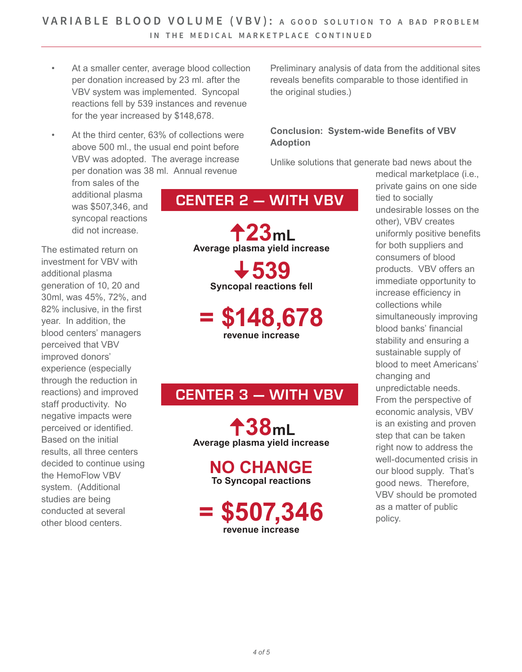- At a smaller center, average blood collection per donation increased by 23 ml. after the VBV system was implemented. Syncopal reactions fell by 539 instances and revenue for the year increased by \$148,678.
- At the third center, 63% of collections were above 500 ml., the usual end point before VBV was adopted. The average increase per donation was 38 ml. Annual revenue

from sales of the additional plasma was \$507,346, and syncopal reactions did not increase.

The estimated return on investment for VBV with additional plasma generation of 10, 20 and 30ml, was 45%, 72%, and 82% inclusive, in the first year. In addition, the blood centers' managers perceived that VBV improved donors' experience (especially through the reduction in reactions) and improved staff productivity. No negative impacts were perceived or identified. Based on the initial results, all three centers decided to continue using the HemoFlow VBV system. (Additional studies are being conducted at several other blood centers.

# **CENTER 2 — WITH VBV**

**، ∥**<br>pla:<br>┗ **23mL Average plasma yield increase v**<br> **opal 539 Syncopal reactions fell**

**= \$148,678 revenue increase**

## **CENTER 3 — WITH VBV**

**O**<br>Dias<br>Dia⊆ **38mL Average plasma yield increase**

**NO CHANGE To Syncopal reactions**

**= \$507,346 revenue increase**

Preliminary analysis of data from the additional sites reveals benefits comparable to those identified in the original studies.)

### **Conclusion: System-wide Benefits of VBV Adoption**

Unlike solutions that generate bad news about the

medical marketplace (i.e., private gains on one side tied to socially undesirable losses on the other), VBV creates uniformly positive benefits for both suppliers and consumers of blood products. VBV offers an immediate opportunity to increase efficiency in collections while simultaneously improving blood banks' financial stability and ensuring a sustainable supply of blood to meet Americans' changing and unpredictable needs. From the perspective of economic analysis, VBV is an existing and proven step that can be taken right now to address the well-documented crisis in our blood supply. That's good news. Therefore, VBV should be promoted as a matter of public policy.